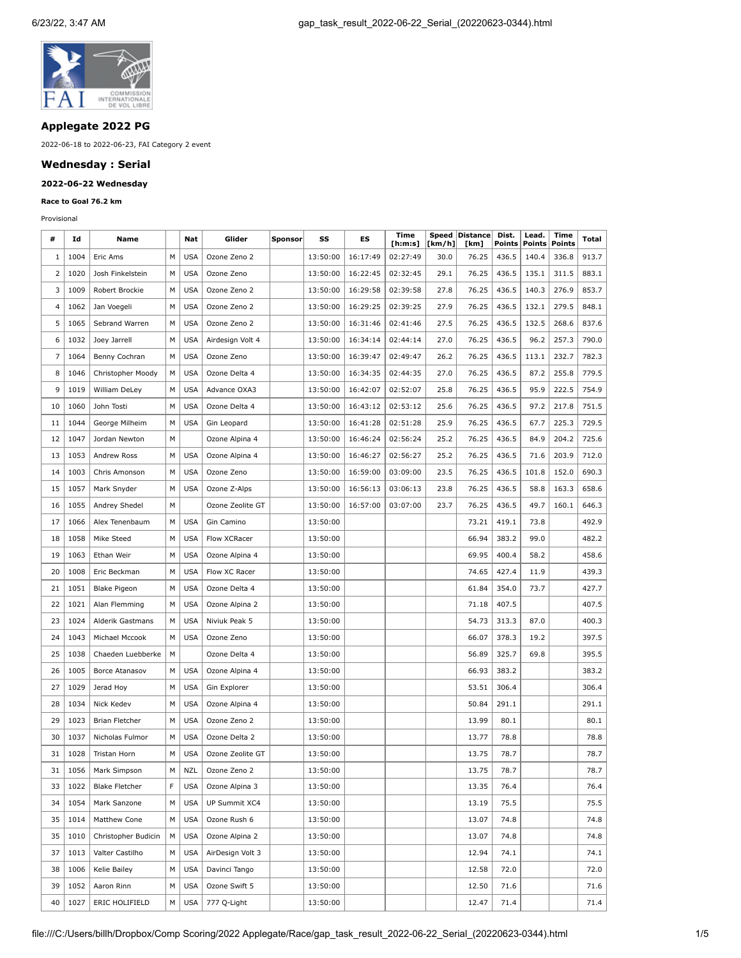

## **Applegate 2022 PG**

2022-06-18 to 2022-06-23, FAI Category 2 event

### **Wednesday : Serial**

# **2022-06-22 Wednesday**

#### **Race to Goal 76.2 km**

Provisional

| #                       | Id   | Name                  |   | Nat        | Glider           | Sponsor | SS       | ES       | Time<br>[h:m:s] | [km/h] | Speed   Distance  <br>[km] | Dist.<br>Points | Lead.<br>Points | Time<br>Points | Total |
|-------------------------|------|-----------------------|---|------------|------------------|---------|----------|----------|-----------------|--------|----------------------------|-----------------|-----------------|----------------|-------|
| 1                       | 1004 | Eric Ams              | м | <b>USA</b> | Ozone Zeno 2     |         | 13:50:00 | 16:17:49 | 02:27:49        | 30.0   | 76.25                      | 436.5           | 140.4           | 336.8          | 913.7 |
| 2                       | 1020 | Josh Finkelstein      | М | <b>USA</b> | Ozone Zeno       |         | 13:50:00 | 16:22:45 | 02:32:45        | 29.1   | 76.25                      | 436.5           | 135.1           | 311.5          | 883.1 |
| 3                       | 1009 | Robert Brockie        | М | <b>USA</b> | Ozone Zeno 2     |         | 13:50:00 | 16:29:58 | 02:39:58        | 27.8   | 76.25                      | 436.5           | 140.3           | 276.9          | 853.7 |
| $\overline{\mathbf{4}}$ | 1062 | Jan Voegeli           | М | <b>USA</b> | Ozone Zeno 2     |         | 13:50:00 | 16:29:25 | 02:39:25        | 27.9   | 76.25                      | 436.5           | 132.1           | 279.5          | 848.1 |
| 5                       | 1065 | Sebrand Warren        | М | <b>USA</b> | Ozone Zeno 2     |         | 13:50:00 | 16:31:46 | 02:41:46        | 27.5   | 76.25                      | 436.5           | 132.5           | 268.6          | 837.6 |
| 6                       | 1032 | Joey Jarrell          | М | <b>USA</b> | Airdesign Volt 4 |         | 13:50:00 | 16:34:14 | 02:44:14        | 27.0   | 76.25                      | 436.5           | 96.2            | 257.3          | 790.0 |
| 7                       | 1064 | Benny Cochran         | М | <b>USA</b> | Ozone Zeno       |         | 13:50:00 | 16:39:47 | 02:49:47        | 26.2   | 76.25                      | 436.5           | 113.1           | 232.7          | 782.3 |
| 8                       | 1046 | Christopher Moody     | М | <b>USA</b> | Ozone Delta 4    |         | 13:50:00 | 16:34:35 | 02:44:35        | 27.0   | 76.25                      | 436.5           | 87.2            | 255.8          | 779.5 |
| 9                       | 1019 | William DeLey         | М | <b>USA</b> | Advance OXA3     |         | 13:50:00 | 16:42:07 | 02:52:07        | 25.8   | 76.25                      | 436.5           | 95.9            | 222.5          | 754.9 |
| 10                      | 1060 | John Tosti            | М | <b>USA</b> | Ozone Delta 4    |         | 13:50:00 | 16:43:12 | 02:53:12        | 25.6   | 76.25                      | 436.5           | 97.2            | 217.8          | 751.5 |
| 11                      | 1044 | George Milheim        | M | <b>USA</b> | Gin Leopard      |         | 13:50:00 | 16:41:28 | 02:51:28        | 25.9   | 76.25                      | 436.5           | 67.7            | 225.3          | 729.5 |
| 12                      | 1047 | Jordan Newton         | М |            | Ozone Alpina 4   |         | 13:50:00 | 16:46:24 | 02:56:24        | 25.2   | 76.25                      | 436.5           | 84.9            | 204.2          | 725.6 |
| 13                      | 1053 | Andrew Ross           | М | <b>USA</b> | Ozone Alpina 4   |         | 13:50:00 | 16:46:27 | 02:56:27        | 25.2   | 76.25                      | 436.5           | 71.6            | 203.9          | 712.0 |
| 14                      | 1003 | Chris Amonson         | М | <b>USA</b> | Ozone Zeno       |         | 13:50:00 | 16:59:00 | 03:09:00        | 23.5   | 76.25                      | 436.5           | 101.8           | 152.0          | 690.3 |
| 15                      | 1057 | Mark Snyder           | М | <b>USA</b> | Ozone Z-Alps     |         | 13:50:00 | 16:56:13 | 03:06:13        | 23.8   | 76.25                      | 436.5           | 58.8            | 163.3          | 658.6 |
| 16                      | 1055 | Andrey Shedel         | М |            | Ozone Zeolite GT |         | 13:50:00 | 16:57:00 | 03:07:00        | 23.7   | 76.25                      | 436.5           | 49.7            | 160.1          | 646.3 |
| 17                      | 1066 | Alex Tenenbaum        | М | <b>USA</b> | Gin Camino       |         | 13:50:00 |          |                 |        | 73.21                      | 419.1           | 73.8            |                | 492.9 |
| 18                      | 1058 | Mike Steed            | М | <b>USA</b> | Flow XCRacer     |         | 13:50:00 |          |                 |        | 66.94                      | 383.2           | 99.0            |                | 482.2 |
| 19                      | 1063 | Ethan Weir            | M | <b>USA</b> | Ozone Alpina 4   |         | 13:50:00 |          |                 |        | 69.95                      | 400.4           | 58.2            |                | 458.6 |
| 20                      | 1008 | Eric Beckman          | М | <b>USA</b> | Flow XC Racer    |         | 13:50:00 |          |                 |        | 74.65                      | 427.4           | 11.9            |                | 439.3 |
| 21                      | 1051 | <b>Blake Pigeon</b>   | M | <b>USA</b> | Ozone Delta 4    |         | 13:50:00 |          |                 |        | 61.84                      | 354.0           | 73.7            |                | 427.7 |
| 22                      | 1021 | Alan Flemming         | М | <b>USA</b> | Ozone Alpina 2   |         | 13:50:00 |          |                 |        | 71.18                      | 407.5           |                 |                | 407.5 |
| 23                      | 1024 | Alderik Gastmans      | М | <b>USA</b> | Niviuk Peak 5    |         | 13:50:00 |          |                 |        | 54.73                      | 313.3           | 87.0            |                | 400.3 |
| 24                      | 1043 | Michael Mccook        | M | <b>USA</b> | Ozone Zeno       |         | 13:50:00 |          |                 |        | 66.07                      | 378.3           | 19.2            |                | 397.5 |
| 25                      | 1038 | Chaeden Luebberke     | М |            | Ozone Delta 4    |         | 13:50:00 |          |                 |        | 56.89                      | 325.7           | 69.8            |                | 395.5 |
| 26                      | 1005 | Borce Atanasov        | М | <b>USA</b> | Ozone Alpina 4   |         | 13:50:00 |          |                 |        | 66.93                      | 383.2           |                 |                | 383.2 |
| 27                      | 1029 | Jerad Hoy             | М | <b>USA</b> | Gin Explorer     |         | 13:50:00 |          |                 |        | 53.51                      | 306.4           |                 |                | 306.4 |
| 28                      | 1034 | Nick Kedev            | M | <b>USA</b> | Ozone Alpina 4   |         | 13:50:00 |          |                 |        | 50.84                      | 291.1           |                 |                | 291.1 |
| 29                      | 1023 | <b>Brian Fletcher</b> | М | <b>USA</b> | Ozone Zeno 2     |         | 13:50:00 |          |                 |        | 13.99                      | 80.1            |                 |                | 80.1  |
| 30                      | 1037 | Nicholas Fulmor       | М | USA        | Ozone Delta 2    |         | 13:50:00 |          |                 |        | 13.77                      | 78.8            |                 |                | 78.8  |
| 31                      | 1028 | Tristan Horn          | М | <b>USA</b> | Ozone Zeolite GT |         | 13:50:00 |          |                 |        | 13.75                      | 78.7            |                 |                | 78.7  |
| 31                      | 1056 | Mark Simpson          | Μ | NZL        | Ozone Zeno 2     |         | 13:50:00 |          |                 |        | 13.75                      | 78.7            |                 |                | 78.7  |
| 33                      | 1022 | <b>Blake Fletcher</b> | F | USA        | Ozone Alpina 3   |         | 13:50:00 |          |                 |        | 13.35                      | 76.4            |                 |                | 76.4  |
| 34                      | 1054 | Mark Sanzone          | M | <b>USA</b> | UP Summit XC4    |         | 13:50:00 |          |                 |        | 13.19                      | 75.5            |                 |                | 75.5  |
| 35                      | 1014 | Matthew Cone          | М | <b>USA</b> | Ozone Rush 6     |         | 13:50:00 |          |                 |        | 13.07                      | 74.8            |                 |                | 74.8  |
| 35                      | 1010 | Christopher Budicin   | M | <b>USA</b> | Ozone Alpina 2   |         | 13:50:00 |          |                 |        | 13.07                      | 74.8            |                 |                | 74.8  |
| 37                      | 1013 | Valter Castilho       | М | USA        | AirDesign Volt 3 |         | 13:50:00 |          |                 |        | 12.94                      | 74.1            |                 |                | 74.1  |
| 38                      | 1006 | Kelie Bailey          | М | <b>USA</b> | Davinci Tango    |         | 13:50:00 |          |                 |        | 12.58                      | 72.0            |                 |                | 72.0  |
| 39                      | 1052 | Aaron Rinn            | М | <b>USA</b> | Ozone Swift 5    |         | 13:50:00 |          |                 |        | 12.50                      | 71.6            |                 |                | 71.6  |
| 40                      | 1027 | ERIC HOLIFIELD        | М | USA        | 777 Q-Light      |         | 13:50:00 |          |                 |        | 12.47                      | 71.4            |                 |                | 71.4  |

file:///C:/Users/billh/Dropbox/Comp Scoring/2022 Applegate/Race/gap\_task\_result\_2022-06-22\_Serial\_(20220623-0344).html 1/5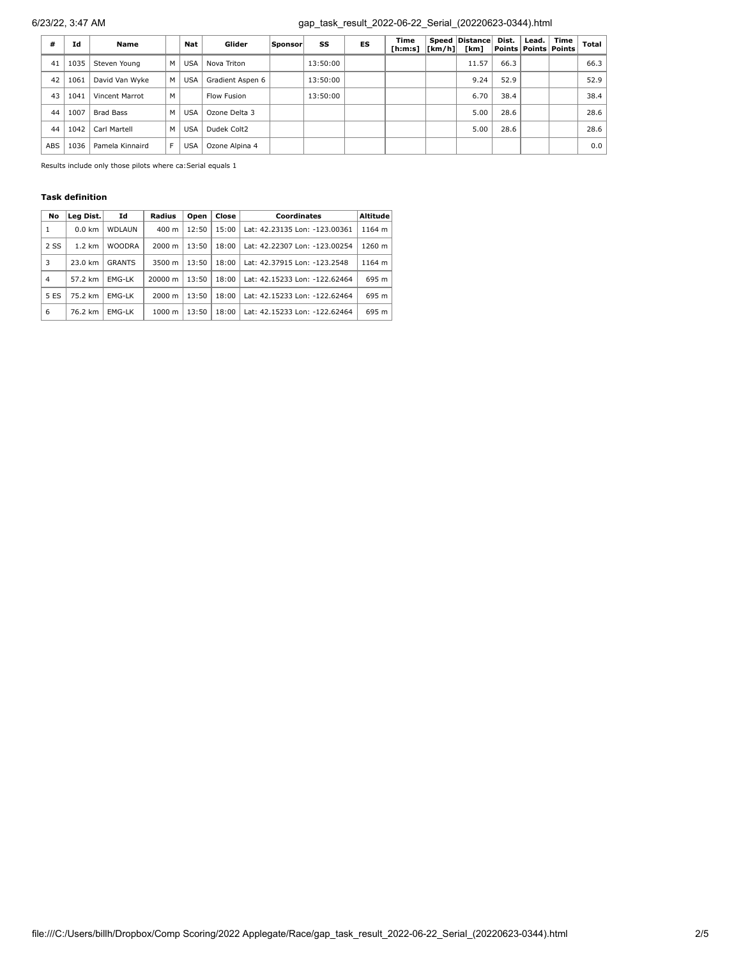# 6/23/22, 3:47 AM gap\_task\_result\_2022-06-22\_Serial\_(20220623-0344).html

| #          | Ιd   | <b>Name</b>      |   | Nat        | Glider           | Sponsor | SS       | ES | Time<br>[h:m:s] | $\lfloor \lfloor km/h \rfloor \rfloor$ | Speed Distance<br>[km] | Dist. | Lead. | Time<br>Points   Points   Points | Total |
|------------|------|------------------|---|------------|------------------|---------|----------|----|-----------------|----------------------------------------|------------------------|-------|-------|----------------------------------|-------|
| 41         | 1035 | Steven Young     | М | <b>USA</b> | Nova Triton      |         | 13:50:00 |    |                 |                                        | 11.57                  | 66.3  |       |                                  | 66.3  |
| 42         | 1061 | David Van Wyke   | м | <b>USA</b> | Gradient Aspen 6 |         | 13:50:00 |    |                 |                                        | 9.24                   | 52.9  |       |                                  | 52.9  |
| 43         | 1041 | Vincent Marrot   | M |            | Flow Fusion      |         | 13:50:00 |    |                 |                                        | 6.70                   | 38.4  |       |                                  | 38.4  |
| 44         | 1007 | <b>Brad Bass</b> | М | <b>USA</b> | Ozone Delta 3    |         |          |    |                 |                                        | 5.00                   | 28.6  |       |                                  | 28.6  |
| 44         | 1042 | Carl Martell     | м | <b>USA</b> | Dudek Colt2      |         |          |    |                 |                                        | 5.00                   | 28.6  |       |                                  | 28.6  |
| <b>ABS</b> | 1036 | Pamela Kinnaird  |   | <b>USA</b> | Ozone Alpina 4   |         |          |    |                 |                                        |                        |       |       |                                  | 0.0   |

Results include only those pilots where ca:Serial equals 1

## **Task definition**

| No   | Leg Dist.        | Id            | Radius             | Open  | Close | <b>Coordinates</b>            | Altitude |
|------|------------------|---------------|--------------------|-------|-------|-------------------------------|----------|
| 1    | $0.0$ km         | <b>WDLAUN</b> | $400 \text{ m}$    | 12:50 | 15:00 | Lat: 42.23135 Lon: -123.00361 | 1164 m   |
| 2 SS | $1.2 \text{ km}$ | <b>WOODRA</b> | $2000 \; m$        | 13:50 | 18:00 | Lat: 42.22307 Lon: -123.00254 | 1260 m   |
| 3    | 23.0 km          | <b>GRANTS</b> | 3500 m             | 13:50 | 18:00 | Lat: 42.37915 Lon: -123.2548  | 1164 m   |
| 4    | 57.2 km          | <b>EMG-LK</b> | 20000 m            | 13:50 | 18:00 | Lat: 42.15233 Lon: -122.62464 | 695 m    |
| 5 ES | 75.2 km          | EMG-LK        | $2000 \; m$        | 13:50 | 18:00 | Lat: 42.15233 Lon: -122.62464 | 695 m    |
| 6    | 76.2 km          | EMG-LK        | $1000 \; \text{m}$ | 13:50 | 18:00 | Lat: 42.15233 Lon: -122.62464 | 695 m    |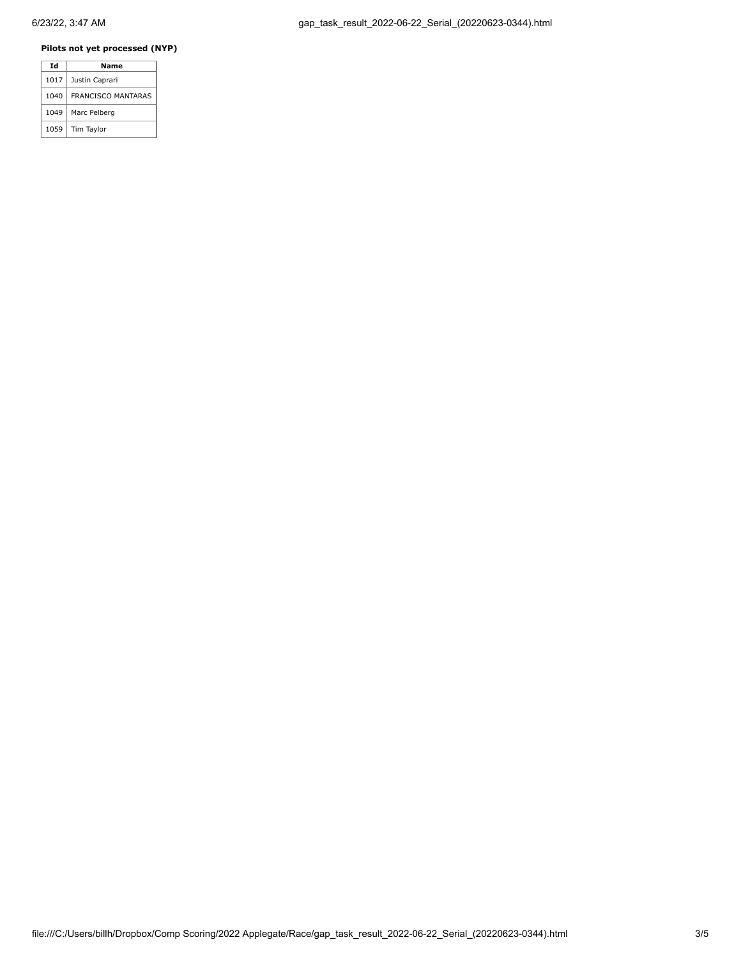### **Pilots not yet processed (NYP)**

| Id   | Name                      |  |  |  |  |  |
|------|---------------------------|--|--|--|--|--|
| 1017 | Justin Caprari            |  |  |  |  |  |
| 1040 | <b>FRANCISCO MANTARAS</b> |  |  |  |  |  |
| 1049 | Marc Pelberg              |  |  |  |  |  |
| 1059 | Tim Taylor                |  |  |  |  |  |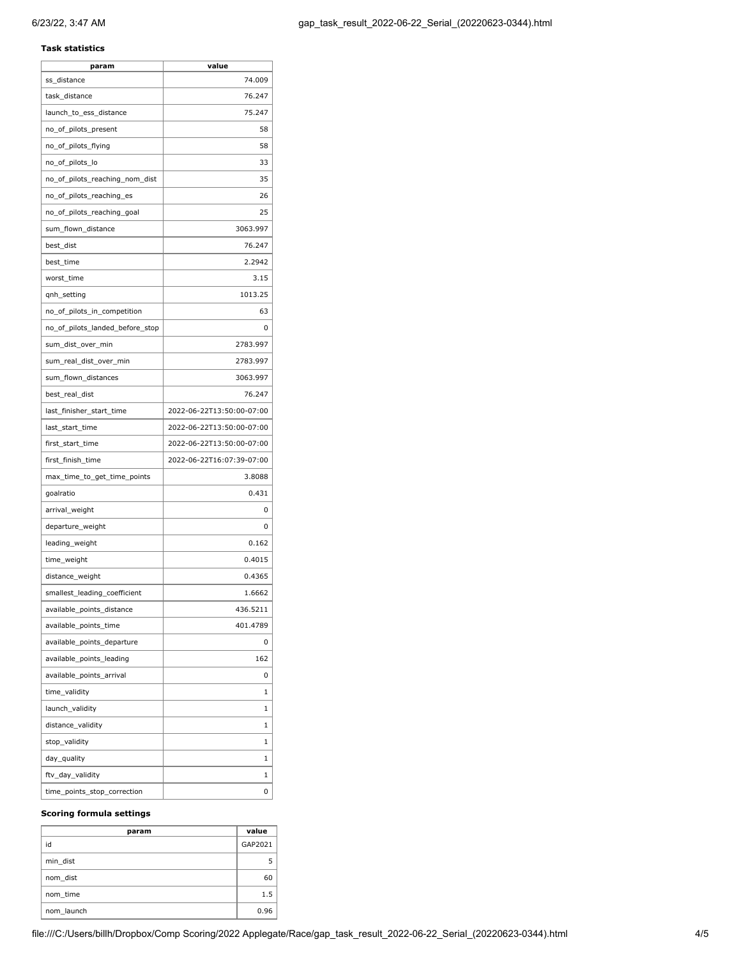#### **Task statistics**

| param                           | value                     |
|---------------------------------|---------------------------|
| ss_distance                     | 74.009                    |
| task_distance                   | 76.247                    |
| launch_to_ess_distance          | 75.247                    |
| no_of_pilots_present            | 58                        |
| no_of_pilots_flying             | 58                        |
| no_of_pilots_lo                 | 33                        |
| no_of_pilots_reaching_nom_dist  | 35                        |
| no_of_pilots_reaching_es        | 26                        |
| no_of_pilots_reaching_goal      | 25                        |
| sum_flown_distance              | 3063.997                  |
| best_dist                       | 76.247                    |
| best_time                       | 2.2942                    |
| worst_time                      | 3.15                      |
| qnh_setting                     | 1013.25                   |
| no_of_pilots_in_competition     | 63                        |
| no_of_pilots_landed_before_stop | 0                         |
| sum_dist_over_min               | 2783.997                  |
| sum_real_dist_over_min          | 2783.997                  |
| sum_flown_distances             | 3063.997                  |
| best_real_dist                  | 76.247                    |
| last_finisher_start_time        | 2022-06-22T13:50:00-07:00 |
| last_start_time                 | 2022-06-22T13:50:00-07:00 |
| first_start_time                | 2022-06-22T13:50:00-07:00 |
| first_finish_time               | 2022-06-22T16:07:39-07:00 |
| max_time_to_get_time_points     | 3.8088                    |
| goalratio                       | 0.431                     |
| arrival_weight                  | 0                         |
| departure_weight                | 0                         |
| leading_weight                  | 0.162                     |
| time_weight                     | 0.4015                    |
| distance_weight                 | 0.4365                    |
| smallest_leading_coefficient    | 1.6662                    |
| available_points_distance       | 436.5211                  |
| available points time           | 401.4789                  |
| available_points_departure      | 0                         |
| available_points_leading        | 162                       |
| available_points_arrival        | 0                         |
| time_validity                   | 1                         |
| launch_validity                 | 1                         |
| distance_validity               | 1                         |
| stop_validity                   | 1                         |
| day_quality                     | 1                         |
| ftv_day_validity                | 1                         |
| time_points_stop_correction     | 0                         |
|                                 |                           |

#### **Scoring formula settings**

| param      | value   |
|------------|---------|
| id         | GAP2021 |
| min dist   | 5       |
| nom dist   | 60      |
| nom time   | 1.5     |
| nom launch | 0.96    |